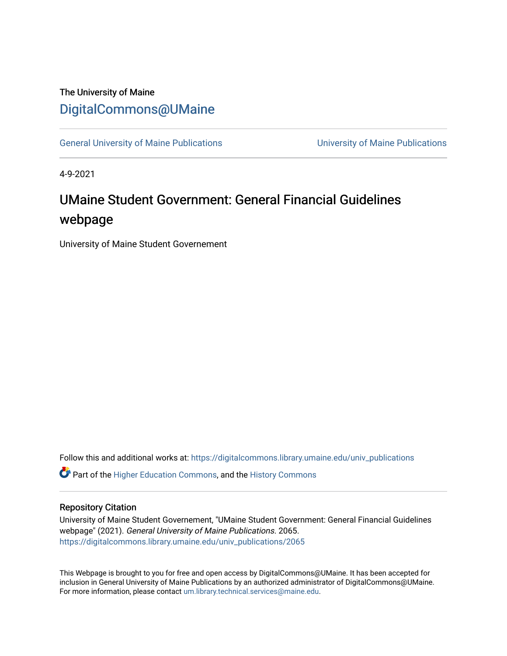## The University of Maine [DigitalCommons@UMaine](https://digitalcommons.library.umaine.edu/)

[General University of Maine Publications](https://digitalcommons.library.umaine.edu/univ_publications) [University of Maine Publications](https://digitalcommons.library.umaine.edu/umaine_publications) 

4-9-2021

# UMaine Student Government: General Financial Guidelines webpage

University of Maine Student Governement

Follow this and additional works at: [https://digitalcommons.library.umaine.edu/univ\\_publications](https://digitalcommons.library.umaine.edu/univ_publications?utm_source=digitalcommons.library.umaine.edu%2Funiv_publications%2F2065&utm_medium=PDF&utm_campaign=PDFCoverPages) 

**C** Part of the [Higher Education Commons,](http://network.bepress.com/hgg/discipline/1245?utm_source=digitalcommons.library.umaine.edu%2Funiv_publications%2F2065&utm_medium=PDF&utm_campaign=PDFCoverPages) and the [History Commons](http://network.bepress.com/hgg/discipline/489?utm_source=digitalcommons.library.umaine.edu%2Funiv_publications%2F2065&utm_medium=PDF&utm_campaign=PDFCoverPages)

### Repository Citation

University of Maine Student Governement, "UMaine Student Government: General Financial Guidelines webpage" (2021). General University of Maine Publications. 2065. [https://digitalcommons.library.umaine.edu/univ\\_publications/2065](https://digitalcommons.library.umaine.edu/univ_publications/2065?utm_source=digitalcommons.library.umaine.edu%2Funiv_publications%2F2065&utm_medium=PDF&utm_campaign=PDFCoverPages)

This Webpage is brought to you for free and open access by DigitalCommons@UMaine. It has been accepted for inclusion in General University of Maine Publications by an authorized administrator of DigitalCommons@UMaine. For more information, please contact [um.library.technical.services@maine.edu](mailto:um.library.technical.services@maine.edu).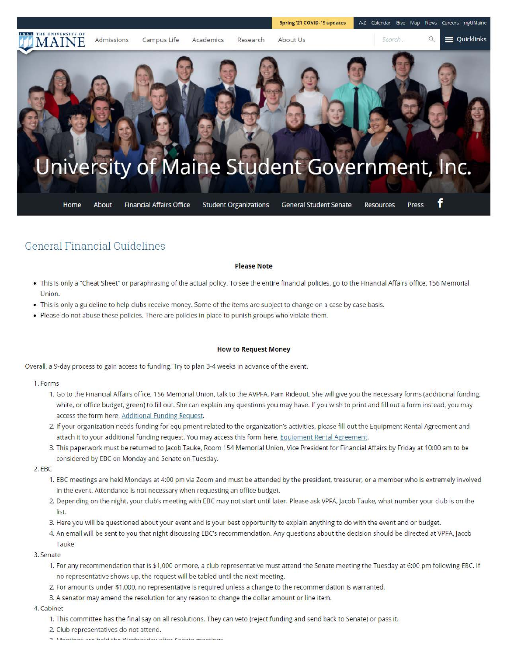

## General Financial Guidelines

#### **Please Note**

- This is only a "Cheat Sheet" or paraphrasing of the actual policy. To see the entire financial policies, go to the Financial Affairs office, 156 Memorial Union.
- This is only a guideline to help clubs receive money. Some of the items are subject to change on a case by case basis.
- Please do not abuse these policies. There are policies in place to punish groups who violate them.

#### **How to Request Money**

Overall, a 9-day process to gain access to funding. Try to plan 3-4 weeks in advance of the event.

#### 1. Forms

- 1. Go to the Financial Affairs office, 156 Memorial Union, talk to the AVPFA, Pam Rideout. She will give you the necessary forms (additional funding, white, or office budget, green) to fill out. She can explain any questions you may have. If you wish to print and fill out a form instead, you may access the form here, Additional Funding Request.
- 2. If your organization needs funding for equipment related to the organization's activities, please fill out the Equipment Rental Agreement and attach it to your additional funding request. You may access this form here, Equipment Rental Agreement.
- 3. This paperwork must be returned to Jacob Tauke, Room 154 Memorial Union, Vice President for Financial Affairs by Friday at 10:00 am to be considered by EBC on Monday and Senate on Tuesday.
- 2. EBC
	- 1. EBC meetings are held Mondays at 4:00 pm via Zoom and must be attended by the president, treasurer, or a member who is extremely involved in the event. Attendance is not necessary when requesting an office budget.
	- 2. Depending on the night, your club's meeting with EBC may not start until later. Please ask VPFA, Jacob Tauke, what number your club is on the list.
	- 3. Here you will be questioned about your event and is your best opportunity to explain anything to do with the event and or budget.
	- 4. An email will be sent to you that night discussing EBC's recommendation. Any questions about the decision should be directed at VPFA, Jacob Tauke.
- 3. Senate
	- 1. For any recommendation that is \$1,000 or more, a club representative must attend the Senate meeting the Tuesday at 6:00 pm following EBC. If no representative shows up, the request will be tabled until the next meeting.
	- 2. For amounts under \$1,000, no representative is required unless a change to the recommendation is warranted.
	- 3. A senator may amend the resolution for any reason to change the dollar amount or line item.
- '1. Cabinet
	- 1. This committee has the final say on all resolutions. They can veto (reject funding and send back to Senate) or pass it.
	- 2. Club representatives do not attend.
	- 2 Moothnee and hold the Wednesday often Conate moothnee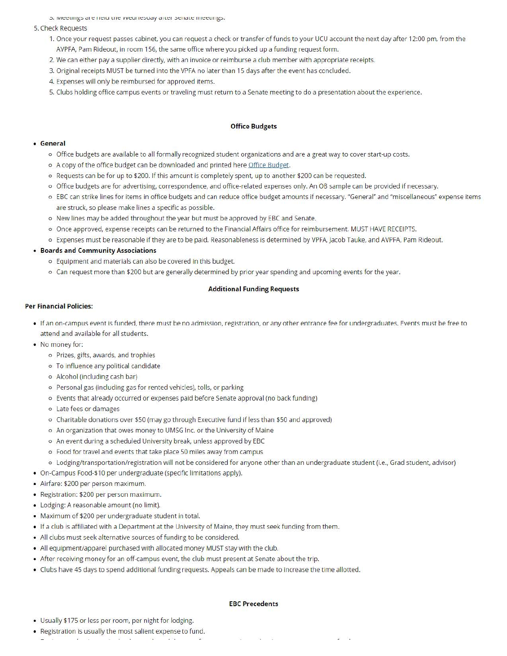5. Meetings are neig the wednesday arter senate meetings.

5. Check Requests

- 1. Once your request passes cabinet. you can request a check or transfer of funds to your UCU account the next day after 12:00 pm. from the AVPFA, Pam Rideout, in room 156, the same office where you picked up a funding request form.
- 2. We can either pay a supplier directly, with an invoice or reimburse a club member with appropriate receipts.
- 3. Original receipts MUST be turned into the VPFA no later than 15 days after the event has ccncluded.
- 4. Expenses will only be reimbursed for approved items.
- 5. Clubs holding office campus events or traveling must return to a Senate meet ing to do a presentation about the experience.

#### **Office Budgets**

#### • **General**

- o Office budgets are available to all formally recognized student organizations and are a great way to cover start-up costs.
- o A copy of the office budget can be downloaded and printed here Office Budget.
- o Requests can be for up to \$200. If this amcunt is completely spent, up to another \$200 can be requested.
- o Office budgets are for advertising, correspondence, and office-related expenses only. An OB sample can be provided if necessary.
- o EBC can strike lines for items in office budgets and can reduce office budget amounts if necessary. "General" and "miscellaneous" expense items are struck, so please make lines a specific as possible.
- o New lines may be added throughout the year but must be approved by EBC and Senate.
- o Once approved, expense receipts can be returned to the Financial Affairs office for reimbursement. MUST HAVE RECEIPTS.
- o Expenses must be reasonable if they are to be paid. Reasonableness is determined by VPFA, Jacob Tauke, and AVPFA, Pam Rideout.

#### • **Boards and Community Associations**

- o Equipment and materials can also be covered in this budget.
- o Can request more than \$200 but are generally determined by prior year spending and upcoming events for the year.

#### **Additional Funding Requests**

#### **Per Financial Policies:**

- If an on-campus event is funded, there must be no admission, registration, or any other entrance fee for undergraduates. Fvents must be free to attend and available for all students.
- No money for:
	- o Prizes, gifts, awards, and trophies
	- o To influence any political candidate
	- o Alcohol (including cash bar)
	- o Personal gas (including gas for rented vehicles), tolls, or parking
	- o Events that already occurred or expenses paid before Senate approval (no back funding)
	- o Late fees or damages
	- o Charitable donations over \$50 (may go through Executive fund if less than \$50 and approved)
	- o An organization that owes money to UMSG Inc. or the University of Maine
	- o An event during a scheduled University break, unless approved by EBC
	- o Food for travel and events that take place 50 miles away from campus
	- o Lodging/transportation/registration will not be considered for anyone other t han an undergraduate student (i.e., Grad student, advisor)
- On-Campus Food-\$10 per undergraduate (specific limitations apply).
- Airfare: \$200 per person maximum.
- Registration: \$200 per person maximum.
- Lodging: A reasonable amount (no limit).
- Maximum of \$200 per undergraduate student in total.
- If a club is affiliated with a Department at the University of Maine, they must seek funding from them.
- All clubs must seek alternative sources of funding to be considered.
- All equipment/apparel purchased with allocated money MUST stay with the club.
- After receiving money for an off-campus event. the club must present at Senate about the trip.
- Clubs have 45 days to spend additional funding requests. Appeals can be made to increase the time allotted.

#### **EBC Precedents**

- Usually \$175 or less per room, per night for lodging.
- Registration is usually the most salient expense to fund.
- $\mathcal{V}^{\mathcal{S}}_{\mathbf{m}}$ 第二章  $\mathbb{S}_2$